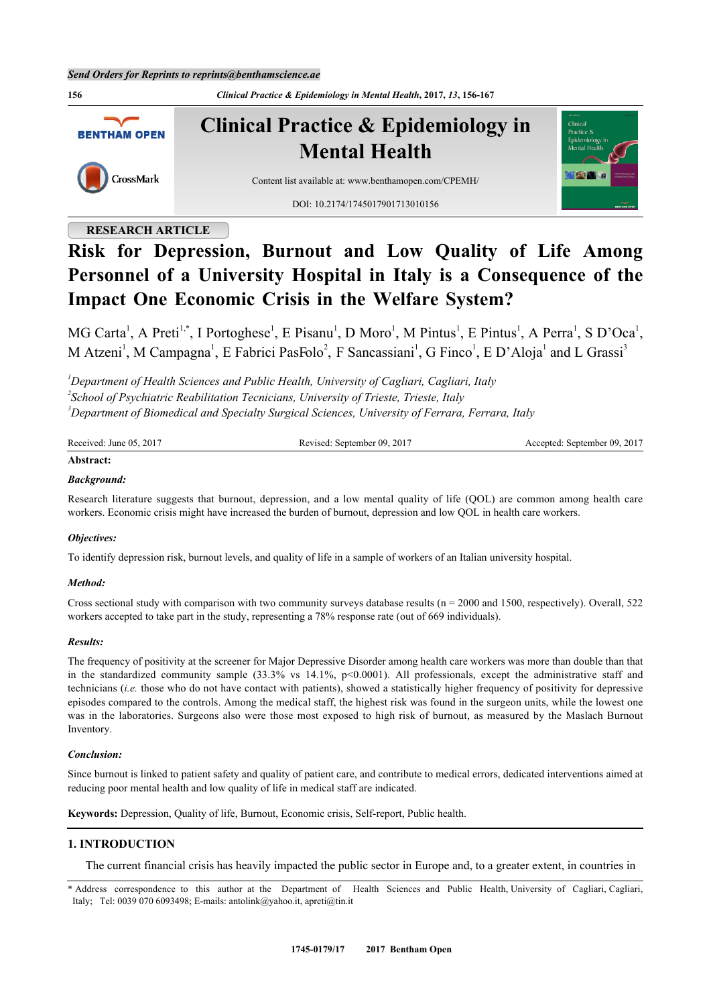

# **RESEARCH ARTICLE**

# **Risk for Depression, Burnout and Low Quality of Life Among Personnel of a University Hospital in Italy is a Consequence of the Impact One Economic Crisis in the Welfare System?**

MG Carta<sup>[1](#page-0-0)</sup>, A Preti<sup>[1,](#page-0-0)[\\*](#page-0-1)</sup>, I Portoghese<sup>1</sup>, E Pisanu<sup>1</sup>, D Moro<sup>1</sup>, M Pintus<sup>1</sup>, E Pintus<sup>1</sup>, A Perra<sup>1</sup>, S D'Oca<sup>1</sup>, M Atzeni<sup>[1](#page-0-0)</sup>, M Campagna<sup>1</sup>, E Fabrici Paseolo<sup>[2](#page-0-2)</sup>, F Sancassiani<sup>1</sup>, G Finco<sup>1</sup>, E D'Aloja<sup>1</sup> and L Grassi<sup>[3](#page-0-3)</sup>

<span id="page-0-2"></span><span id="page-0-0"></span>*<sup>1</sup>Department of Health Sciences and Public Health, University of Cagliari, Cagliari, Italy 2 School of Psychiatric Reabilitation Tecnicians, University of Trieste, Trieste, Italy <sup>3</sup>Department of Biomedical and Specialty Surgical Sciences, University of Ferrara, Ferrara, Italy*

<span id="page-0-3"></span>

| Received:<br>$-201'$<br>June 05 | $201^{\circ}$<br>- 09<br>evised<br>sentember | 201 <sup>-</sup><br>. 09.<br>september !<br>ccented |
|---------------------------------|----------------------------------------------|-----------------------------------------------------|
|                                 |                                              |                                                     |

# **Abstract:**

# *Background:*

Research literature suggests that burnout, depression, and a low mental quality of life (QOL) are common among health care workers. Economic crisis might have increased the burden of burnout, depression and low QOL in health care workers.

#### *Objectives:*

To identify depression risk, burnout levels, and quality of life in a sample of workers of an Italian university hospital.

#### *Method:*

Cross sectional study with comparison with two community surveys database results ( $n = 2000$  and 1500, respectively). Overall, 522 workers accepted to take part in the study, representing a 78% response rate (out of 669 individuals).

#### *Results:*

The frequency of positivity at the screener for Major Depressive Disorder among health care workers was more than double than that in the standardized community sample  $(33.3\% \text{ vs } 14.1\% \text{ p} < 0.0001)$ . All professionals, except the administrative staff and technicians (*i.e.* those who do not have contact with patients), showed a statistically higher frequency of positivity for depressive episodes compared to the controls. Among the medical staff, the highest risk was found in the surgeon units, while the lowest one was in the laboratories. Surgeons also were those most exposed to high risk of burnout, as measured by the Maslach Burnout Inventory.

#### *Conclusion:*

Since burnout is linked to patient safety and quality of patient care, and contribute to medical errors, dedicated interventions aimed at reducing poor mental health and low quality of life in medical staff are indicated.

**Keywords:** Depression, Quality of life, Burnout, Economic crisis, Self-report, Public health.

# **1. INTRODUCTION**

The current financial crisis has heavily impacted the public sector in Europe and, to a greater extent, in countries in

<span id="page-0-1"></span>\* Address correspondence to this author at the Department of Health Sciences and Public Health, University of Cagliari, Cagliari, Italy; Tel: 0039 070 6093498; E-mails: [antolink@yahoo.it](mailto:antolink@yahoo.it), [apreti@tin.it](mailto:apreti@tin.it)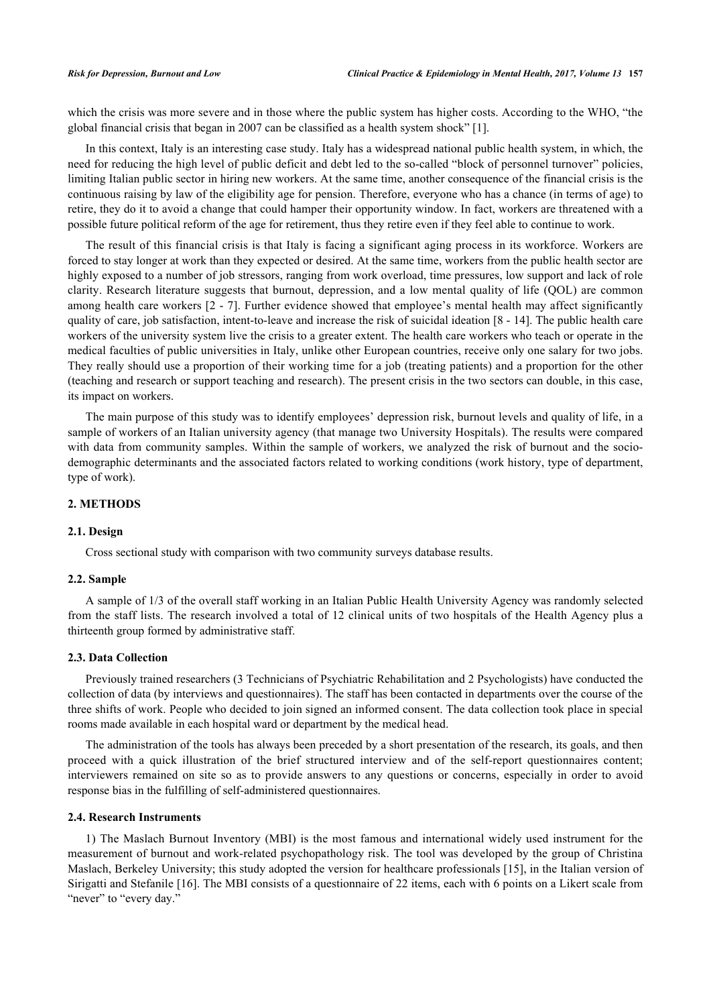which the crisis was more severe and in those where the public system has higher costs. According to the WHO, "the global financial crisis that began in 2007 can be classified as a health system shock" [\[1](#page-9-0)].

In this context, Italy is an interesting case study. Italy has a widespread national public health system, in which, the need for reducing the high level of public deficit and debt led to the so-called "block of personnel turnover" policies, limiting Italian public sector in hiring new workers. At the same time, another consequence of the financial crisis is the continuous raising by law of the eligibility age for pension. Therefore, everyone who has a chance (in terms of age) to retire, they do it to avoid a change that could hamper their opportunity window. In fact, workers are threatened with a possible future political reform of the age for retirement, thus they retire even if they feel able to continue to work.

The result of this financial crisis is that Italy is facing a significant aging process in its workforce. Workers are forced to stay longer at work than they expected or desired. At the same time, workers from the public health sector are highly exposed to a number of job stressors, ranging from work overload, time pressures, low support and lack of role clarity. Research literature suggests that burnout, depression, and a low mental quality of life (QOL) are common among health care workers [[2](#page-9-1) - [7\]](#page-10-0). Further evidence showed that employee's mental health may affect significantly quality of care, job satisfaction, intent-to-leave and increase the risk of suicidal ideation [[8](#page-10-1) - [14](#page-10-2)]. The public health care workers of the university system live the crisis to a greater extent. The health care workers who teach or operate in the medical faculties of public universities in Italy, unlike other European countries, receive only one salary for two jobs. They really should use a proportion of their working time for a job (treating patients) and a proportion for the other (teaching and research or support teaching and research). The present crisis in the two sectors can double, in this case, its impact on workers.

The main purpose of this study was to identify employees' depression risk, burnout levels and quality of life, in a sample of workers of an Italian university agency (that manage two University Hospitals). The results were compared with data from community samples. Within the sample of workers, we analyzed the risk of burnout and the sociodemographic determinants and the associated factors related to working conditions (work history, type of department, type of work).

### **2. METHODS**

#### **2.1. Design**

Cross sectional study with comparison with two community surveys database results.

#### **2.2. Sample**

A sample of 1/3 of the overall staff working in an Italian Public Health University Agency was randomly selected from the staff lists. The research involved a total of 12 clinical units of two hospitals of the Health Agency plus a thirteenth group formed by administrative staff.

#### **2.3. Data Collection**

Previously trained researchers (3 Technicians of Psychiatric Rehabilitation and 2 Psychologists) have conducted the collection of data (by interviews and questionnaires). The staff has been contacted in departments over the course of the three shifts of work. People who decided to join signed an informed consent. The data collection took place in special rooms made available in each hospital ward or department by the medical head.

The administration of the tools has always been preceded by a short presentation of the research, its goals, and then proceed with a quick illustration of the brief structured interview and of the self-report questionnaires content; interviewers remained on site so as to provide answers to any questions or concerns, especially in order to avoid response bias in the fulfilling of self-administered questionnaires.

#### **2.4. Research Instruments**

1) The Maslach Burnout Inventory (MBI) is the most famous and international widely used instrument for the measurement of burnout and work-related psychopathology risk. The tool was developed by the group of Christina Maslach, Berkeley University; this study adopted the version for healthcare professionals [[15](#page-10-3)], in the Italian version of Sirigatti and Stefanile [\[16\]](#page-10-4). The MBI consists of a questionnaire of 22 items, each with 6 points on a Likert scale from "never" to "every day."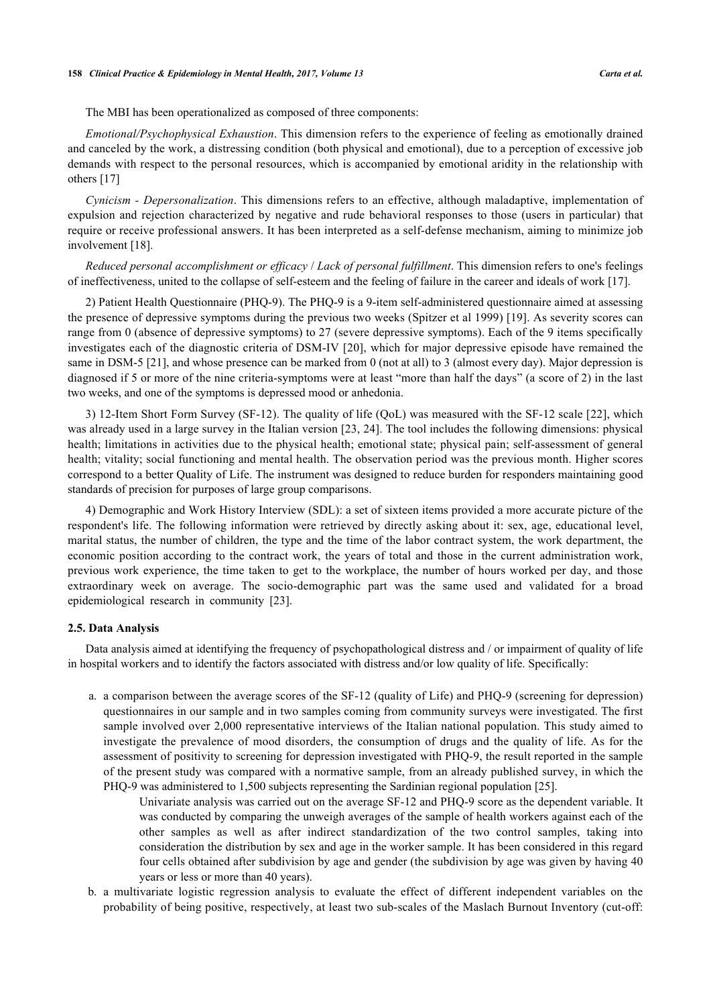The MBI has been operationalized as composed of three components:

*Emotional/Psychophysical Exhaustion*. This dimension refers to the experience of feeling as emotionally drained and canceled by the work, a distressing condition (both physical and emotional), due to a perception of excessive job demands with respect to the personal resources, which is accompanied by emotional aridity in the relationship with others [[17\]](#page-10-5)

*Cynicism - Depersonalization*. This dimensions refers to an effective, although maladaptive, implementation of expulsion and rejection characterized by negative and rude behavioral responses to those (users in particular) that require or receive professional answers. It has been interpreted as a self-defense mechanism, aiming to minimize job involvement [[18\]](#page-10-6).

*Reduced personal accomplishment or efficacy* / *Lack of personal fulfillment*. This dimension refers to one's feelings of ineffectiveness, united to the collapse of self-esteem and the feeling of failure in the career and ideals of work [\[17](#page-10-5)].

2) Patient Health Questionnaire (PHQ-9). The PHQ-9 is a 9-item self-administered questionnaire aimed at assessing the presence of depressive symptoms during the previous two weeks (Spitzer et al 1999) [[19\]](#page-10-7). As severity scores can range from 0 (absence of depressive symptoms) to 27 (severe depressive symptoms). Each of the 9 items specifically investigates each of the diagnostic criteria of DSM-IV [[20](#page-10-8)], which for major depressive episode have remained the same in DSM-5 [[21\]](#page-10-9), and whose presence can be marked from 0 (not at all) to 3 (almost every day). Major depression is diagnosed if 5 or more of the nine criteria-symptoms were at least "more than half the days" (a score of 2) in the last two weeks, and one of the symptoms is depressed mood or anhedonia.

3) 12-Item Short Form Survey (SF-12). The quality of life (QoL) was measured with the SF-12 scale [[22\]](#page-10-10), which was already used in a large survey in the Italian version [[23](#page-10-11), [24](#page-10-12)]. The tool includes the following dimensions: physical health; limitations in activities due to the physical health; emotional state; physical pain; self-assessment of general health; vitality; social functioning and mental health. The observation period was the previous month. Higher scores correspond to a better Quality of Life. The instrument was designed to reduce burden for responders maintaining good standards of precision for purposes of large group comparisons.

4) Demographic and Work History Interview (SDL): a set of sixteen items provided a more accurate picture of the respondent's life. The following information were retrieved by directly asking about it: sex, age, educational level, marital status, the number of children, the type and the time of the labor contract system, the work department, the economic position according to the contract work, the years of total and those in the current administration work, previous work experience, the time taken to get to the workplace, the number of hours worked per day, and those extraordinary week on average. The socio-demographic part was the same used and validated for a broad epidemiological research in community [\[23](#page-10-11)].

#### **2.5. Data Analysis**

Data analysis aimed at identifying the frequency of psychopathological distress and / or impairment of quality of life in hospital workers and to identify the factors associated with distress and/or low quality of life. Specifically:

- a. a comparison between the average scores of the SF-12 (quality of Life) and PHQ-9 (screening for depression) questionnaires in our sample and in two samples coming from community surveys were investigated. The first sample involved over 2,000 representative interviews of the Italian national population. This study aimed to investigate the prevalence of mood disorders, the consumption of drugs and the quality of life. As for the assessment of positivity to screening for depression investigated with PHQ-9, the result reported in the sample of the present study was compared with a normative sample, from an already published survey, in which the PHQ-9 was administered to 1,500 subjects representing the Sardinian regional population [\[25](#page-11-0)].
	- Univariate analysis was carried out on the average SF-12 and PHQ-9 score as the dependent variable. It was conducted by comparing the unweigh averages of the sample of health workers against each of the other samples as well as after indirect standardization of the two control samples, taking into consideration the distribution by sex and age in the worker sample. It has been considered in this regard four cells obtained after subdivision by age and gender (the subdivision by age was given by having 40 years or less or more than 40 years).
- b. a multivariate logistic regression analysis to evaluate the effect of different independent variables on the probability of being positive, respectively, at least two sub-scales of the Maslach Burnout Inventory (cut-off: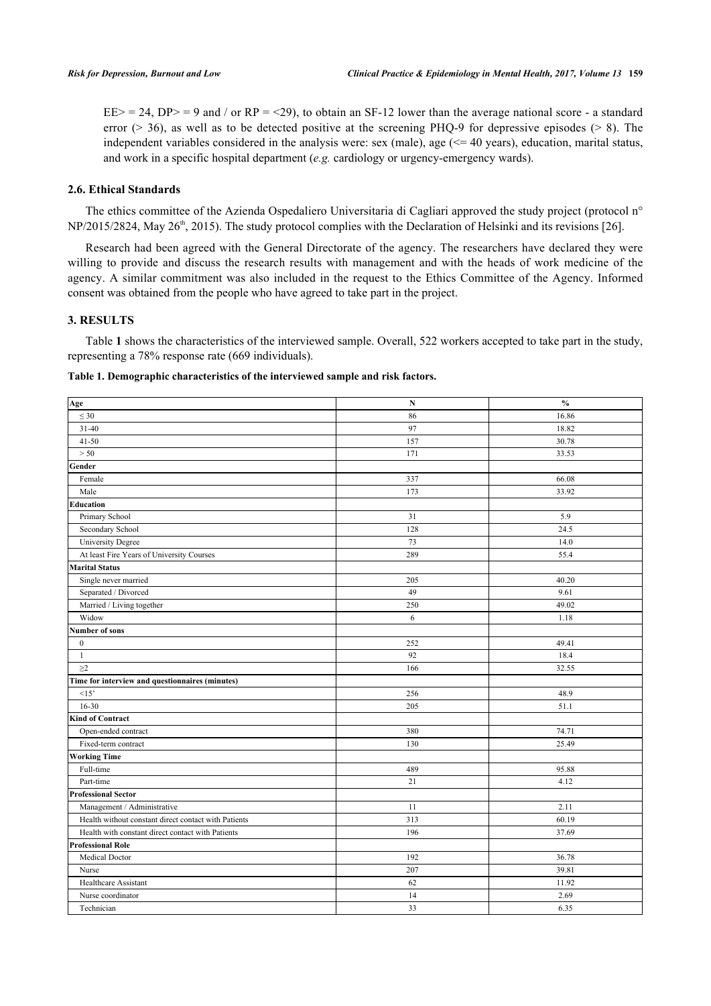$EE$  = 24, DP = 9 and / or RP = <29), to obtain an SF-12 lower than the average national score - a standard error ( $>$  36), as well as to be detected positive at the screening PHQ-9 for depressive episodes ( $>$  8). The independent variables considered in the analysis were: sex (male), age  $\ll$  40 years), education, marital status, and work in a specific hospital department (*e.g.* cardiology or urgency-emergency wards).

## **2.6. Ethical Standards**

The ethics committee of the Azienda Ospedaliero Universitaria di Cagliari approved the study project (protocol n° NP/2015/2824, May 26<sup>th</sup>, 2015). The study protocol complies with the Declaration of Helsinki and its revisions [\[26](#page-11-1)].

Research had been agreed with the General Directorate of the agency. The researchers have declared they were willing to provide and discuss the research results with management and with the heads of work medicine of the agency. A similar commitment was also included in the request to the Ethics Committee of the Agency. Informed consent was obtained from the people who have agreed to take part in the project.

#### **3. RESULTS**

Table **[1](#page-3-0)** shows the characteristics of the interviewed sample. Overall, 522 workers accepted to take part in the study, representing a 78% response rate (669 individuals).

<span id="page-3-0"></span>**Table 1. Demographic characteristics of the interviewed sample and risk factors.**

| Age                                                  | $\mathbf N$ | $\mathbf{0}_{\mathbf{0}}^{\prime}$ |
|------------------------------------------------------|-------------|------------------------------------|
| $\leq 30$                                            | 86          | 16.86                              |
| $31 - 40$                                            | 97          | 18.82                              |
| $41 - 50$                                            | 157         | 30.78                              |
| > 50                                                 | 171         | 33.53                              |
| Gender                                               |             |                                    |
| Female                                               | 337         | 66.08                              |
| Male                                                 | 173         | 33.92                              |
| Education                                            |             |                                    |
| Primary School                                       | 31          | 5.9                                |
| Secondary School                                     | 128         | 24.5                               |
| <b>University Degree</b>                             | 73          | 14.0                               |
| At least Fire Years of University Courses            | 289         | 55.4                               |
| <b>Marital Status</b>                                |             |                                    |
| Single never married                                 | 205         | 40.20                              |
| Separated / Divorced                                 | 49          | 9.61                               |
| Married / Living together                            | 250         | 49.02                              |
| Widow                                                | 6           | 1.18                               |
| <b>Number of sons</b>                                |             |                                    |
| $\mathbf{0}$                                         | 252         | 49.41                              |
| $\mathbf{1}$                                         | 92          | 18.4                               |
| $\geq$ 2                                             | 166         | 32.55                              |
| Time for interview and questionnaires (minutes)      |             |                                    |
| <15                                                  | 256         | 48.9                               |
| $16 - 30$                                            | 205         | 51.1                               |
| <b>Kind of Contract</b>                              |             |                                    |
| Open-ended contract                                  | 380         | 74.71                              |
| Fixed-term contract                                  | 130         | 25.49                              |
| <b>Working Time</b>                                  |             |                                    |
| Full-time                                            | 489         | 95.88                              |
| Part-time                                            | 21          | 4.12                               |
| <b>Professional Sector</b>                           |             |                                    |
| Management / Administrative                          | 11          | 2.11                               |
| Health without constant direct contact with Patients | 313         | 60.19                              |
| Health with constant direct contact with Patients    | 196         | 37.69                              |
| <b>Professional Role</b>                             |             |                                    |
| Medical Doctor                                       | 192         | 36.78                              |
| Nurse                                                | 207         | 39.81                              |
| Healthcare Assistant                                 | 62          | 11.92                              |
| Nurse coordinator                                    | 14          | 2.69                               |
| Technician                                           | 33          | 6.35                               |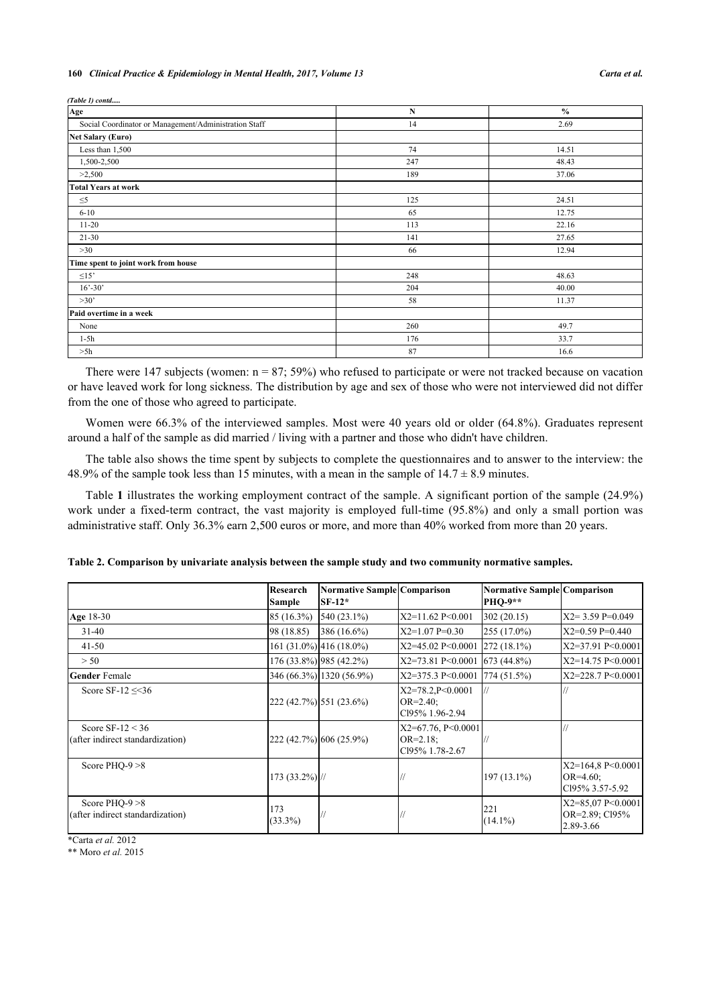#### **160** *Clinical Practice & Epidemiology in Mental Health, 2017, Volume 13 Carta et al.*

| (Table 1) contd                                       |     |               |
|-------------------------------------------------------|-----|---------------|
| Age                                                   | N   | $\frac{0}{0}$ |
| Social Coordinator or Management/Administration Staff | 14  | 2.69          |
| <b>Net Salary (Euro)</b>                              |     |               |
| Less than 1,500                                       | 74  | 14.51         |
| 1,500-2,500                                           | 247 | 48.43         |
| >2,500                                                | 189 | 37.06         |
| <b>Total Years at work</b>                            |     |               |
| $\leq 5$                                              | 125 | 24.51         |
| $6 - 10$                                              | 65  | 12.75         |
| $11 - 20$                                             | 113 | 22.16         |
| $21 - 30$                                             | 141 | 27.65         |
| >30                                                   | 66  | 12.94         |
| Time spent to joint work from house                   |     |               |
| $\leq15$                                              | 248 | 48.63         |
| $16' - 30'$                                           | 204 | 40.00         |
| >30'                                                  | 58  | 11.37         |
| Paid overtime in a week                               |     |               |
| None                                                  | 260 | 49.7          |
| $1-5h$                                                | 176 | 33.7          |
| >5h                                                   | 87  | 16.6          |

There were 147 subjects (women:  $n = 87$ ; 59%) who refused to participate or were not tracked because on vacation or have leaved work for long sickness. The distribution by age and sex of those who were not interviewed did not differ from the one of those who agreed to participate.

Women were 66.3% of the interviewed samples. Most were 40 years old or older (64.8%). Graduates represent around a half of the sample as did married / living with a partner and those who didn't have children.

The table also shows the time spent by subjects to complete the questionnaires and to answer to the interview: the 48.9% of the sample took less than 15 minutes, with a mean in the sample of  $14.7 \pm 8.9$  minutes.

Table **[1](#page-3-0)** illustrates the working employment contract of the sample. A significant portion of the sample (24.9%) work under a fixed-term contract, the vast majority is employed full-time (95.8%) and only a small portion was administrative staff. Only 36.3% earn 2,500 euros or more, and more than 40% worked from more than 20 years.

|                                                         | Research<br><b>Sample</b> | Normative Sample Comparison<br>$SF-12*$ |                                                          | Normative Sample Comparison<br><b>PHO-9**</b> |                                                        |
|---------------------------------------------------------|---------------------------|-----------------------------------------|----------------------------------------------------------|-----------------------------------------------|--------------------------------------------------------|
| Age 18-30                                               | 85 (16.3%)                | 540 (23.1%)                             | X2=11.62 P<0.001                                         | 302(20.15)                                    | $X2 = 3.59$ P=0.049                                    |
| $31 - 40$                                               | 98 (18.85)                | 386 (16.6%)                             | $X2=1.07$ P=0.30                                         | 255 (17.0%)                                   | $X2=0.59$ P=0.440                                      |
| $41 - 50$                                               |                           | $161 (31.0\%)$ 416 (18.0%)              | X2=45.02 P<0.0001                                        | $272(18.1\%)$                                 | X2=37.91 P<0.0001                                      |
| > 50                                                    |                           | 176 (33.8%) 985 (42.2%)                 | X2=73.81 P<0.0001                                        | 673(44.8%)                                    | X2=14.75 P<0.0001                                      |
| <b>Gender</b> Female                                    |                           | 346 (66.3%) 1320 (56.9%)                | X2=375.3 P<0.0001                                        | 774(51.5%)                                    | $X2 = 228.7$ P < 0.0001                                |
| Score SF-12 $\leq$ 36                                   |                           | 222 (42.7%) 551 (23.6%)                 | X2=78.2, P<0.0001<br>$OR = 2.40$ ;<br>Cl95% 1.96-2.94    |                                               |                                                        |
| Score SF- $12 < 36$<br>(after indirect standardization) |                           | 222 (42.7%) 606 (25.9%)                 | $X2=67.76, P<0.0001$<br>$OR = 2.18$ ;<br>Cl95% 1.78-2.67 |                                               |                                                        |
| Score PHO-9 $>8$                                        | $173(33.2\%)$ //          |                                         |                                                          | $197(13.1\%)$                                 | $X2=164.8$ P<0.0001<br>$OR=4.60$ ;<br>Cl95% 3.57-5.92  |
| Score PHO-9 $>8$<br>(after indirect standardization)    | 173<br>$(33.3\%)$         |                                         |                                                          | 221<br>$(14.1\%)$                             | $X2 = 85,07$ P < 0.0001<br>OR=2.89; C195%<br>2.89-3.66 |

<span id="page-4-0"></span>

|  | Table 2. Comparison by univariate analysis between the sample study and two community normative samples. |
|--|----------------------------------------------------------------------------------------------------------|
|  |                                                                                                          |

\*Carta *et al.* 2012

\*\* Moro *et al.* 2015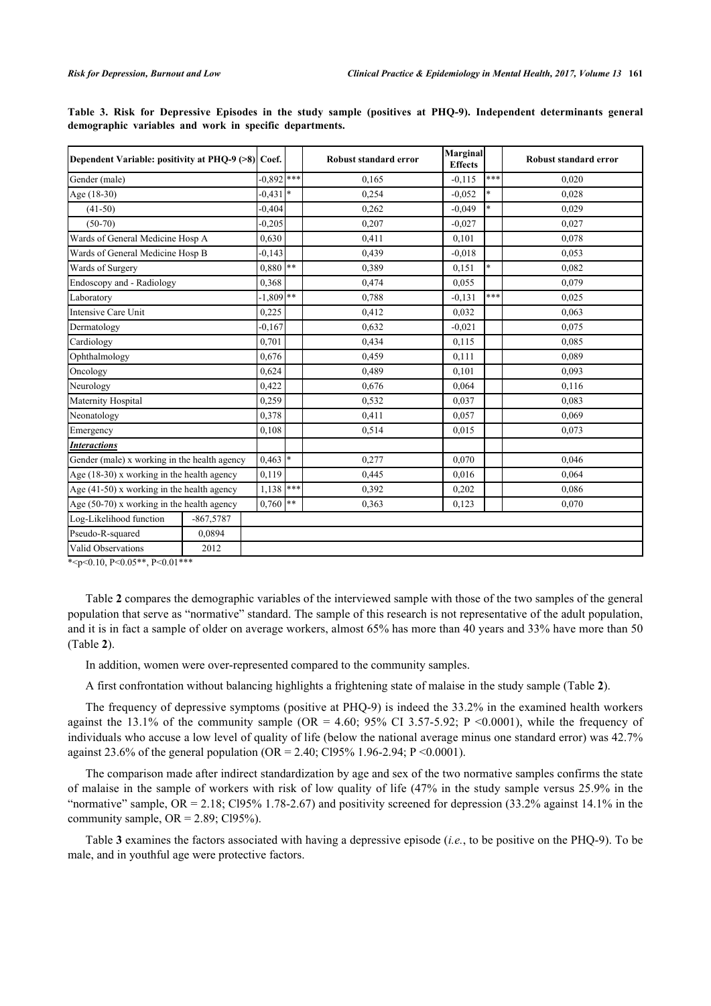| Dependent Variable: positivity at PHQ-9 (>8) Coef. |             |             |            | Robust standard error | <b>Marginal</b><br><b>Effects</b> |        | Robust standard error |
|----------------------------------------------------|-------------|-------------|------------|-----------------------|-----------------------------------|--------|-----------------------|
| Gender (male)                                      |             | $0,892$ *** |            | 0,165                 | $-0,115$                          | $***$  | 0,020                 |
| Age (18-30)                                        |             | $-0,431$ *  |            | 0.254                 | $-0.052$                          | $\ast$ | 0.028                 |
| $(41-50)$                                          |             | $-0,404$    |            | 0,262                 | $-0.049$                          | $\ast$ | 0,029                 |
| $(50-70)$                                          |             | $-0.205$    |            | 0,207                 | $-0.027$                          |        | 0,027                 |
| Wards of General Medicine Hosp A                   |             | 0,630       |            | 0,411                 | 0,101                             |        | 0,078                 |
| Wards of General Medicine Hosp B                   |             | $-0.143$    |            | 0,439                 | $-0.018$                          |        | 0,053                 |
| Wards of Surgery                                   |             | 0,880       | $***$      | 0,389                 | 0.151                             | $\ast$ | 0,082                 |
| Endoscopy and - Radiology                          |             | 0.368       |            | 0.474                 | 0.055                             |        | 0.079                 |
| Laboratory                                         |             | $-1,809$ ** |            | 0,788                 | $-0.131$                          | ***    | 0,025                 |
| Intensive Care Unit                                |             | 0,225       |            | 0,412                 | 0.032                             |        | 0,063                 |
| Dermatology                                        |             | $-0.167$    |            | 0.632                 | $-0.021$                          |        | 0.075                 |
| Cardiology                                         |             | 0,701       |            | 0,434                 | 0,115                             |        | 0.085                 |
| Ophthalmology                                      |             | 0,676       |            | 0.459                 | 0.111                             |        | 0,089                 |
| Oncology                                           |             | 0,624       |            | 0,489                 | 0,101                             |        | 0.093                 |
| Neurology                                          |             | 0,422       |            | 0,676                 | 0,064                             |        | 0,116                 |
| Maternity Hospital                                 |             | 0,259       |            | 0,532                 | 0,037                             |        | 0.083                 |
| Neonatology                                        |             | 0,378       |            | 0,411                 | 0,057                             |        | 0.069                 |
| Emergency                                          |             | 0,108       |            | 0,514                 | 0,015                             |        | 0,073                 |
| <b>Interactions</b>                                |             |             |            |                       |                                   |        |                       |
| Gender (male) x working in the health agency       |             | $0,463$ *   |            | 0,277                 | 0.070                             |        | 0.046                 |
| Age (18-30) x working in the health agency         |             | 0,119       |            | 0,445                 | 0.016                             |        | 0,064                 |
| Age (41-50) x working in the health agency         |             | 1,138       | ***        | 0,392                 | 0,202                             |        | 0,086                 |
| Age $(50-70)$ x working in the health agency       |             | 0,760       | $\ast\ast$ | 0.363                 | 0,123                             |        | 0.070                 |
| Log-Likelihood function                            | $-867,5787$ |             |            |                       |                                   |        |                       |
| Pseudo-R-squared                                   | 0,0894      |             |            |                       |                                   |        |                       |
| Valid Observations                                 | 2012        |             |            |                       |                                   |        |                       |
|                                                    |             |             |            |                       |                                   |        |                       |

<span id="page-5-0"></span>**Table 3. Risk for Depressive Episodes in the study sample (positives at PHQ-9). Independent determinants general demographic variables and work in specific departments.**

\*<p<0.10, P<0.05\*\*, P<0.01\*\*\*

Table **[2](#page-4-0)** compares the demographic variables of the interviewed sample with those of the two samples of the general population that serve as "normative" standard. The sample of this research is not representative of the adult population, and it is in fact a sample of older on average workers, almost 65% has more than 40 years and 33% have more than 50 (Table **[2](#page-4-0)**).

In addition, women were over-represented compared to the community samples.

A first confrontation without balancing highlights a frightening state of malaise in the study sample (Table **[2](#page-4-0)**).

The frequency of depressive symptoms (positive at PHQ-9) is indeed the 33.2% in the examined health workers against the 13.1% of the community sample (OR = 4.60; 95% CI 3.57-5.92; P < 0.0001), while the frequency of individuals who accuse a low level of quality of life (below the national average minus one standard error) was 42.7% against 23.6% of the general population (OR = 2.40; Cl95% 1.96-2.94; P < 0.0001).

The comparison made after indirect standardization by age and sex of the two normative samples confirms the state of malaise in the sample of workers with risk of low quality of life (47% in the study sample versus 25.9% in the "normative" sample,  $OR = 2.18$ ; Cl95% 1.78-2.67) and positivity screened for depression (33.2% against 14.1% in the community sample,  $OR = 2.89$ ; Cl95%).

Table **[3](#page-5-0)** examines the factors associated with having a depressive episode (*i.e.*, to be positive on the PHQ-9). To be male, and in youthful age were protective factors.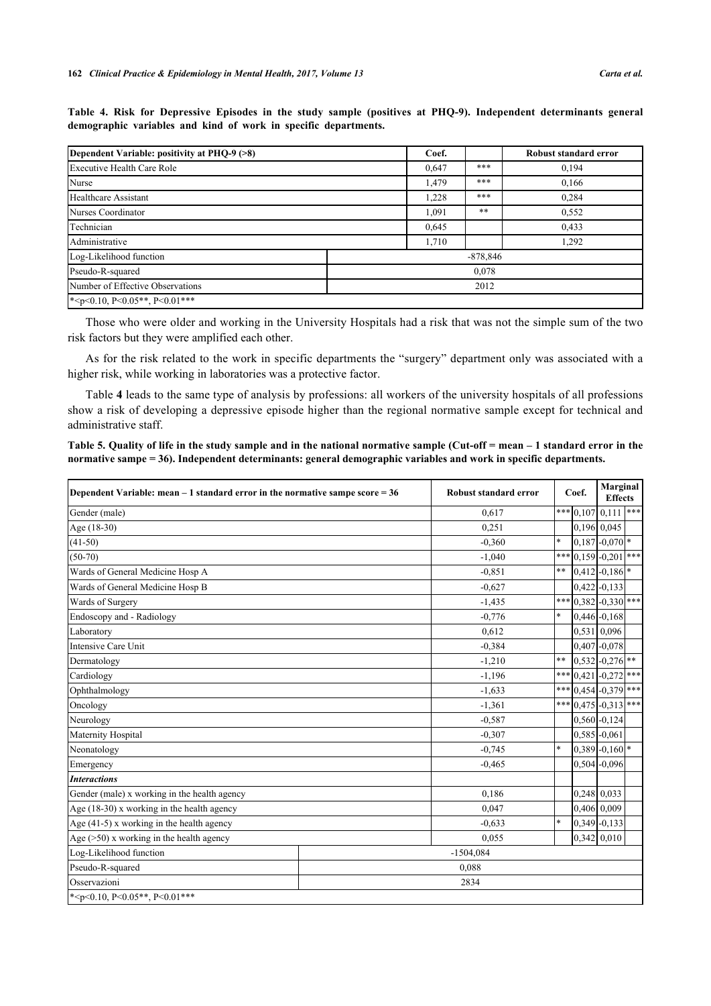| Dependent Variable: positivity at PHQ-9 (>8)                                                 |  | Coef. |            | Robust standard error |
|----------------------------------------------------------------------------------------------|--|-------|------------|-----------------------|
| Executive Health Care Role                                                                   |  |       | ***        | 0,194                 |
| Nurse                                                                                        |  |       | ***        | 0,166                 |
| Healthcare Assistant                                                                         |  |       | ***        | 0,284                 |
| Nurses Coordinator                                                                           |  |       | **         | 0,552                 |
| Technician                                                                                   |  |       |            | 0,433                 |
| Administrative                                                                               |  |       |            | 1,292                 |
| Log-Likelihood function                                                                      |  |       | $-878,846$ |                       |
| Pseudo-R-squared                                                                             |  |       |            |                       |
| Number of Effective Observations                                                             |  | 2012  |            |                       |
| $*$ <p<0.10, p<0.01***<="" p<0.05**,="" td=""><td></td><td></td><td></td><td></td></p<0.10,> |  |       |            |                       |

<span id="page-6-0"></span>**Table 4. Risk for Depressive Episodes in the study sample (positives at PHQ-9). Independent determinants general demographic variables and kind of work in specific departments.**

Those who were older and working in the University Hospitals had a risk that was not the simple sum of the two risk factors but they were amplified each other.

As for the risk related to the work in specific departments the "surgery" department only was associated with a higher risk, while working in laboratories was a protective factor.

Table **[4](#page-6-0)** leads to the same type of analysis by professions: all workers of the university hospitals of all professions show a risk of developing a depressive episode higher than the regional normative sample except for technical and administrative staff.

<span id="page-6-1"></span>**Table 5. Quality of life in the study sample and in the national normative sample (Cut-off = mean – 1 standard error in the normative sampe = 36). Independent determinants: general demographic variables and work in specific departments.**

| Dependent Variable: mean $-1$ standard error in the normative sampe score = 36 | Coef.<br>Robust standard error |       | <b>Marginal</b><br><b>Effects</b> |                              |     |
|--------------------------------------------------------------------------------|--------------------------------|-------|-----------------------------------|------------------------------|-----|
| Gender (male)                                                                  | 0,617                          |       |                                   | $*$ $  0, 107   0, 111  $    | *** |
| Age (18-30)                                                                    | 0,251                          |       |                                   | 0,196 0,045                  |     |
| $(41-50)$                                                                      | $-0.360$                       | l∗    |                                   | $0,187 - 0,070$ *            |     |
| $(50-70)$                                                                      | $-1,040$                       | ***   |                                   | $[0,159]$ -0,201 ***         |     |
| Wards of General Medicine Hosp A                                               | $-0.851$                       | $***$ |                                   | $0,412$ -0,186 <sup>*</sup>  |     |
| Wards of General Medicine Hosp B                                               | $-0.627$                       |       |                                   | $0,422$ -0,133               |     |
| Wards of Surgery                                                               | $-1,435$                       | ***   |                                   | $0,382$ -0,330 ***           |     |
| Endoscopy and - Radiology                                                      | $-0,776$                       | l*    |                                   | $0,446$ -0,168               |     |
| Laboratory                                                                     | 0,612                          |       |                                   | 0,531 0,096                  |     |
| Intensive Care Unit                                                            | $-0.384$                       |       |                                   | $0,407 - 0,078$              |     |
| Dermatology                                                                    | $-1,210$                       | $**$  |                                   | $0,532$ -0,276               |     |
| Cardiology                                                                     | $-1.196$                       | ***   | 0.421                             | $-0,272$ ***                 |     |
| Ophthalmology                                                                  | $-1,633$                       | ***   |                                   | $0,454$ -0,379 ***           |     |
| Oncology                                                                       | $-1,361$                       | ***   |                                   | $0,475$ -0,313 ***           |     |
| Neurology                                                                      | $-0.587$                       |       |                                   | $0,560 - 0,124$              |     |
| Maternity Hospital                                                             | $-0.307$                       |       |                                   | $0,585 - 0,061$              |     |
| Neonatology                                                                    | $-0,745$                       | ×.    |                                   | $0,389 - 0,160$ <sup>*</sup> |     |
| Emergency                                                                      | $-0,465$                       |       |                                   | $0,504 - 0,096$              |     |
| <b>Interactions</b>                                                            |                                |       |                                   |                              |     |
| Gender (male) x working in the health agency                                   | 0,186                          |       |                                   | 0,248 0,033                  |     |
| Age (18-30) x working in the health agency                                     | 0.047                          |       |                                   | 0.406 0.009                  |     |
| Age $(41-5)$ x working in the health agency                                    | $-0.633$                       | l*    |                                   | $0,349$ -0,133               |     |
| Age $($ >50) x working in the health agency                                    | 0,055                          |       |                                   | $0,342$ 0,010                |     |
| Log-Likelihood function                                                        | $-1504,084$                    |       |                                   |                              |     |
| Pseudo-R-squared                                                               | 0.088                          |       |                                   |                              |     |
| Osservazioni                                                                   | 2834                           |       |                                   |                              |     |
| * <p<0.10, <math="">P \le 0.05**, <math>P \le 0.01</math>***</p<0.10,>         |                                |       |                                   |                              |     |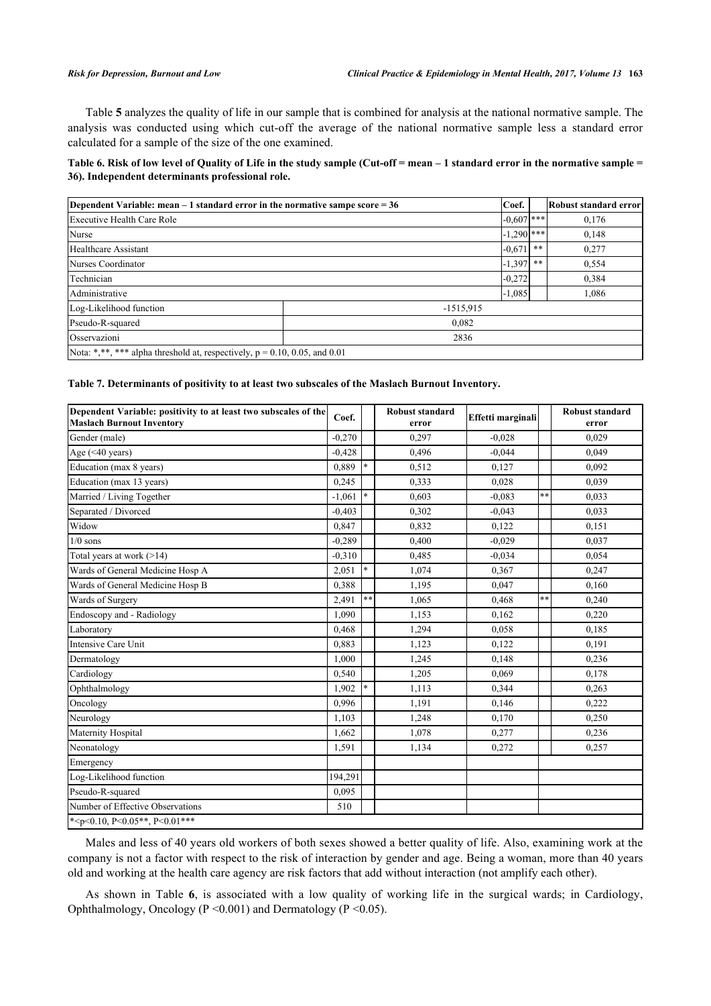Table **[5](#page-6-1)** analyzes the quality of life in our sample that is combined for analysis at the national normative sample. The analysis was conducted using which cut-off the average of the national normative sample less a standard error calculated for a sample of the size of the one examined.

# <span id="page-7-0"></span>**Table 6. Risk of low level of Quality of Life in the study sample (Cut-off = mean – 1 standard error in the normative sample = 36). Independent determinants professional role.**

| Dependent Variable: mean $-1$ standard error in the normative sampe score = 36 |             |              |    | Robust standard error |  |  |
|--------------------------------------------------------------------------------|-------------|--------------|----|-----------------------|--|--|
| Executive Health Care Role                                                     |             | $-0.607$ *** |    | 0,176                 |  |  |
| Nurse                                                                          |             | $-1,290$ *** |    | 0,148                 |  |  |
| Healthcare Assistant                                                           |             | $-0.671$     | ** | 0,277                 |  |  |
| Nurses Coordinator                                                             |             | $-1,397$ **  |    | 0,554                 |  |  |
| Technician                                                                     |             | $-0.272$     |    | 0.384                 |  |  |
| Administrative                                                                 |             | $-1,085$     |    | 1,086                 |  |  |
| Log-Likelihood function                                                        | $-1515,915$ |              |    |                       |  |  |
| Pseudo-R-squared                                                               | 0,082       |              |    |                       |  |  |
| Osservazioni                                                                   | 2836        |              |    |                       |  |  |
| Nota: *,**, *** alpha threshold at, respectively, $p = 0.10, 0.05,$ and 0.01   |             |              |    |                       |  |  |

#### <span id="page-7-1"></span>**Table 7. Determinants of positivity to at least two subscales of the Maslach Burnout Inventory.**

| Dependent Variable: positivity to at least two subscales of the<br><b>Maslach Burnout Inventory</b> | Coef.    |        | <b>Robust standard</b><br>error | Effetti marginali |       | <b>Robust standard</b><br>error |
|-----------------------------------------------------------------------------------------------------|----------|--------|---------------------------------|-------------------|-------|---------------------------------|
| Gender (male)                                                                                       | $-0,270$ |        | 0,297                           | $-0.028$          |       | 0,029                           |
| Age $(40 years)$                                                                                    | $-0,428$ |        | 0,496                           | $-0.044$          |       | 0.049                           |
| Education (max 8 years)                                                                             | 0,889    |        | 0,512                           | 0,127             |       | 0,092                           |
| Education (max 13 years)                                                                            | 0,245    |        | 0.333                           | 0,028             |       | 0,039                           |
| Married / Living Together                                                                           | $-1.061$ |        | 0.603                           | $-0.083$          | $**$  | 0,033                           |
| Separated / Divorced                                                                                | $-0,403$ |        | 0,302                           | $-0.043$          |       | 0,033                           |
| Widow                                                                                               | 0,847    |        | 0,832                           | 0,122             |       | 0,151                           |
| $1/0$ sons                                                                                          | $-0.289$ |        | 0.400                           | $-0.029$          |       | 0.037                           |
| Total years at work $(>14)$                                                                         | $-0,310$ |        | 0,485                           | $-0.034$          |       | 0,054                           |
| Wards of General Medicine Hosp A                                                                    | 2,051    |        | 1,074                           | 0,367             |       | 0,247                           |
| Wards of General Medicine Hosp B                                                                    | 0.388    |        | 1,195                           | 0.047             |       | 0,160                           |
| Wards of Surgery                                                                                    | 2,491    | **     | 1,065                           | 0,468             | $***$ | 0,240                           |
| Endoscopy and - Radiology                                                                           | 1,090    |        | 1,153                           | 0,162             |       | 0,220                           |
| Laboratory                                                                                          | 0,468    |        | 1,294                           | 0,058             |       | 0,185                           |
| Intensive Care Unit                                                                                 | 0.883    |        | 1,123                           | 0,122             |       | 0,191                           |
| Dermatology                                                                                         | 1,000    |        | 1,245                           | 0,148             |       | 0,236                           |
| Cardiology                                                                                          | 0,540    |        | 1,205                           | 0,069             |       | 0,178                           |
| Ophthalmology                                                                                       | 1,902    | $\ast$ | 1,113                           | 0,344             |       | 0,263                           |
| Oncology                                                                                            | 0,996    |        | 1,191                           | 0,146             |       | 0,222                           |
| Neurology                                                                                           | 1,103    |        | 1,248                           | 0,170             |       | 0,250                           |
| Maternity Hospital                                                                                  | 1,662    |        | 1,078                           | 0,277             |       | 0,236                           |
| Neonatology                                                                                         | 1,591    |        | 1,134                           | 0,272             |       | 0,257                           |
| Emergency                                                                                           |          |        |                                 |                   |       |                                 |
| Log-Likelihood function                                                                             | 194,291  |        |                                 |                   |       |                                 |
| Pseudo-R-squared                                                                                    | 0,095    |        |                                 |                   |       |                                 |
| Number of Effective Observations                                                                    | 510      |        |                                 |                   |       |                                 |
| * <p<0.10, <math="">P \le 0.05**, <math>P \le 0.01</math>***</p<0.10,>                              |          |        |                                 |                   |       |                                 |

Males and less of 40 years old workers of both sexes showed a better quality of life. Also, examining work at the company is not a factor with respect to the risk of interaction by gender and age. Being a woman, more than 40 years old and working at the health care agency are risk factors that add without interaction (not amplify each other).

As shown in Table**6**, is associated with a low quality of working life in the surgical wards; in Cardiology, Ophthalmology, Oncology (P <0.001) and Dermatology (P <0.05).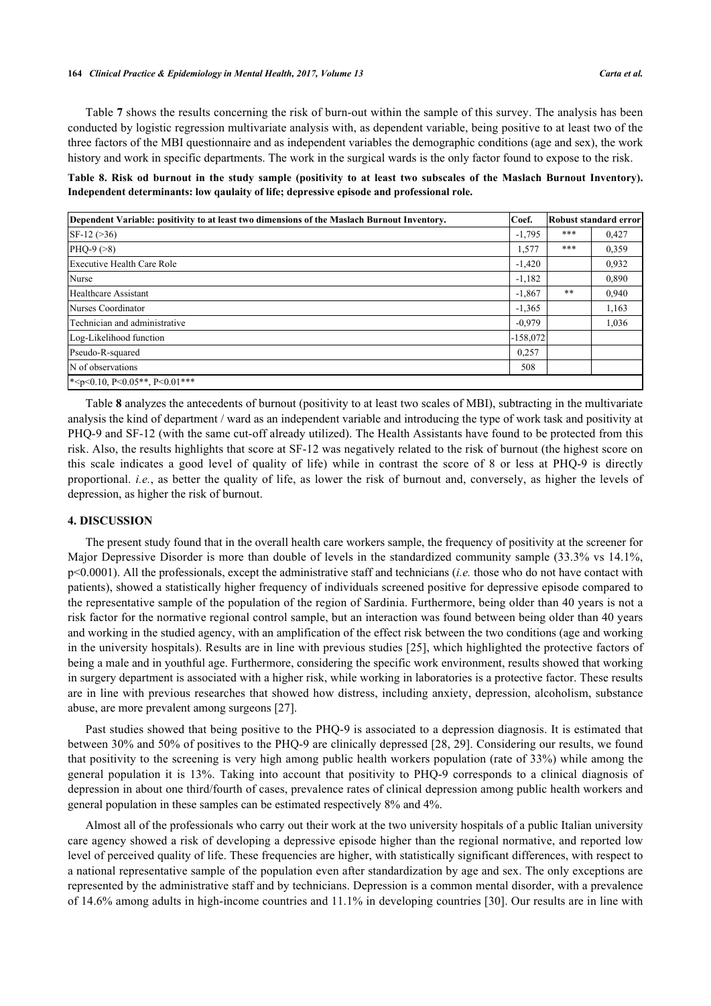Table **[7](#page-7-1)** shows the results concerning the risk of burn-out within the sample of this survey. The analysis has been conducted by logistic regression multivariate analysis with, as dependent variable, being positive to at least two of the three factors of the MBI questionnaire and as independent variables the demographic conditions (age and sex), the work history and work in specific departments. The work in the surgical wards is the only factor found to expose to the risk.

<span id="page-8-0"></span>**Table 8. Risk od burnout in the study sample (positivity to at least two subscales of the Maslach Burnout Inventory). Independent determinants: low qaulaity of life; depressive episode and professional role.**

| Dependent Variable: positivity to at least two dimensions of the Maslach Burnout Inventory. |            |     | Robust standard error |
|---------------------------------------------------------------------------------------------|------------|-----|-----------------------|
| $SF-12 (>36)$                                                                               | $-1,795$   | *** | 0,427                 |
| $PHO-9 (>8)$                                                                                | 1,577      | *** | 0,359                 |
| Executive Health Care Role                                                                  | $-1,420$   |     | 0,932                 |
| Nurse                                                                                       | $-1,182$   |     | 0,890                 |
| Healthcare Assistant                                                                        | $-1,867$   | **  | 0,940                 |
| Nurses Coordinator                                                                          | $-1,365$   |     | 1,163                 |
| Technician and administrative                                                               | $-0.979$   |     | 1,036                 |
| Log-Likelihood function                                                                     | $-158,072$ |     |                       |
| Pseudo-R-squared                                                                            | 0,257      |     |                       |
| N of observations                                                                           | 508        |     |                       |
| * <p<0.10, <math="">P \le 0.05**, <math>P \le 0.01</math>***</p<0.10,>                      |            |     |                       |

Table **[8](#page-8-0)** analyzes the antecedents of burnout (positivity to at least two scales of MBI), subtracting in the multivariate analysis the kind of department / ward as an independent variable and introducing the type of work task and positivity at PHQ-9 and SF-12 (with the same cut-off already utilized). The Health Assistants have found to be protected from this risk. Also, the results highlights that score at SF-12 was negatively related to the risk of burnout (the highest score on this scale indicates a good level of quality of life) while in contrast the score of 8 or less at PHQ-9 is directly proportional. *i.e.*, as better the quality of life, as lower the risk of burnout and, conversely, as higher the levels of depression, as higher the risk of burnout.

# **4. DISCUSSION**

The present study found that in the overall health care workers sample, the frequency of positivity at the screener for Major Depressive Disorder is more than double of levels in the standardized community sample (33.3% vs 14.1%, p<0.0001). All the professionals, except the administrative staff and technicians (*i.e.* those who do not have contact with patients), showed a statistically higher frequency of individuals screened positive for depressive episode compared to the representative sample of the population of the region of Sardinia. Furthermore, being older than 40 years is not a risk factor for the normative regional control sample, but an interaction was found between being older than 40 years and working in the studied agency, with an amplification of the effect risk between the two conditions (age and working in the university hospitals). Results are in line with previous studies [[25\]](#page-11-0), which highlighted the protective factors of being a male and in youthful age. Furthermore, considering the specific work environment, results showed that working in surgery department is associated with a higher risk, while working in laboratories is a protective factor. These results are in line with previous researches that showed how distress, including anxiety, depression, alcoholism, substance abuse, are more prevalent among surgeons [\[27](#page-11-2)].

Past studies showed that being positive to the PHQ-9 is associated to a depression diagnosis. It is estimated that between 30% and 50% of positives to the PHQ-9 are clinically depressed [[28,](#page-11-3) [29](#page-11-4)]. Considering our results, we found that positivity to the screening is very high among public health workers population (rate of 33%) while among the general population it is 13%. Taking into account that positivity to PHQ-9 corresponds to a clinical diagnosis of depression in about one third/fourth of cases, prevalence rates of clinical depression among public health workers and general population in these samples can be estimated respectively 8% and 4%.

Almost all of the professionals who carry out their work at the two university hospitals of a public Italian university care agency showed a risk of developing a depressive episode higher than the regional normative, and reported low level of perceived quality of life. These frequencies are higher, with statistically significant differences, with respect to a national representative sample of the population even after standardization by age and sex. The only exceptions are represented by the administrative staff and by technicians. Depression is a common mental disorder, with a prevalence of 14.6% among adults in high-income countries and 11.1% in developing countries [\[30](#page-11-5)]. Our results are in line with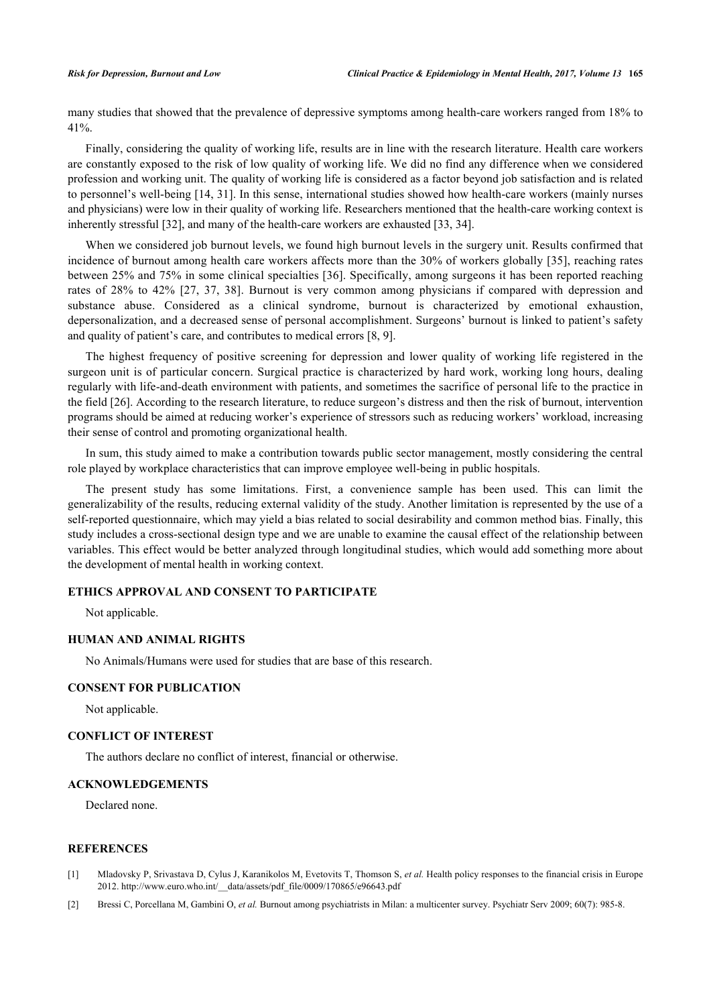many studies that showed that the prevalence of depressive symptoms among health-care workers ranged from 18% to 41%.

Finally, considering the quality of working life, results are in line with the research literature. Health care workers are constantly exposed to the risk of low quality of working life. We did no find any difference when we considered profession and working unit. The quality of working life is considered as a factor beyond job satisfaction and is related to personnel's well-being [\[14](#page-10-2), [31\]](#page-11-6). In this sense, international studies showed how health-care workers (mainly nurses and physicians) were low in their quality of working life. Researchers mentioned that the health-care working context is inherently stressful [[32\]](#page-11-7), and many of the health-care workers are exhausted [[33,](#page-11-8) [34\]](#page-11-9).

When we considered job burnout levels, we found high burnout levels in the surgery unit. Results confirmed that incidence of burnout among health care workers affects more than the 30% of workers globally [[35\]](#page-11-10), reaching rates between 25% and 75% in some clinical specialties [[36\]](#page-11-11). Specifically, among surgeons it has been reported reaching rates of 28% to 42% [\[27](#page-11-2), [37](#page-11-12), [38](#page-11-13)]. Burnout is very common among physicians if compared with depression and substance abuse. Considered as a clinical syndrome, burnout is characterized by emotional exhaustion, depersonalization, and a decreased sense of personal accomplishment. Surgeons' burnout is linked to patient's safety and quality of patient's care, and contributes to medical errors [[8,](#page-10-1) [9\]](#page-10-13).

The highest frequency of positive screening for depression and lower quality of working life registered in the surgeon unit is of particular concern. Surgical practice is characterized by hard work, working long hours, dealing regularly with life-and-death environment with patients, and sometimes the sacrifice of personal life to the practice in the field [[26\]](#page-11-1). According to the research literature, to reduce surgeon's distress and then the risk of burnout, intervention programs should be aimed at reducing worker's experience of stressors such as reducing workers' workload, increasing their sense of control and promoting organizational health.

In sum, this study aimed to make a contribution towards public sector management, mostly considering the central role played by workplace characteristics that can improve employee well-being in public hospitals.

The present study has some limitations. First, a convenience sample has been used. This can limit the generalizability of the results, reducing external validity of the study. Another limitation is represented by the use of a self-reported questionnaire, which may yield a bias related to social desirability and common method bias. Finally, this study includes a cross-sectional design type and we are unable to examine the causal effect of the relationship between variables. This effect would be better analyzed through longitudinal studies, which would add something more about the development of mental health in working context.

# **ETHICS APPROVAL AND CONSENT TO PARTICIPATE**

Not applicable.

#### **HUMAN AND ANIMAL RIGHTS**

No Animals/Humans were used for studies that are base of this research.

# **CONSENT FOR PUBLICATION**

Not applicable.

#### **CONFLICT OF INTEREST**

The authors declare no conflict of interest, financial or otherwise.

## **ACKNOWLEDGEMENTS**

Declared none.

### **REFERENCES**

- <span id="page-9-0"></span>[1] Mladovsky P, Srivastava D, Cylus J, Karanikolos M, Evetovits T, Thomson S, *et al.* Health policy responses to the financial crisis in Europe 2012. http://www.euro.who.int/ data/assets/pdf\_file/0009/170865/e96643.pdf
- <span id="page-9-1"></span>[2] Bressi C, Porcellana M, Gambini O, *et al.* Burnout among psychiatrists in Milan: a multicenter survey. Psychiatr Serv 2009; 60(7): 985-8.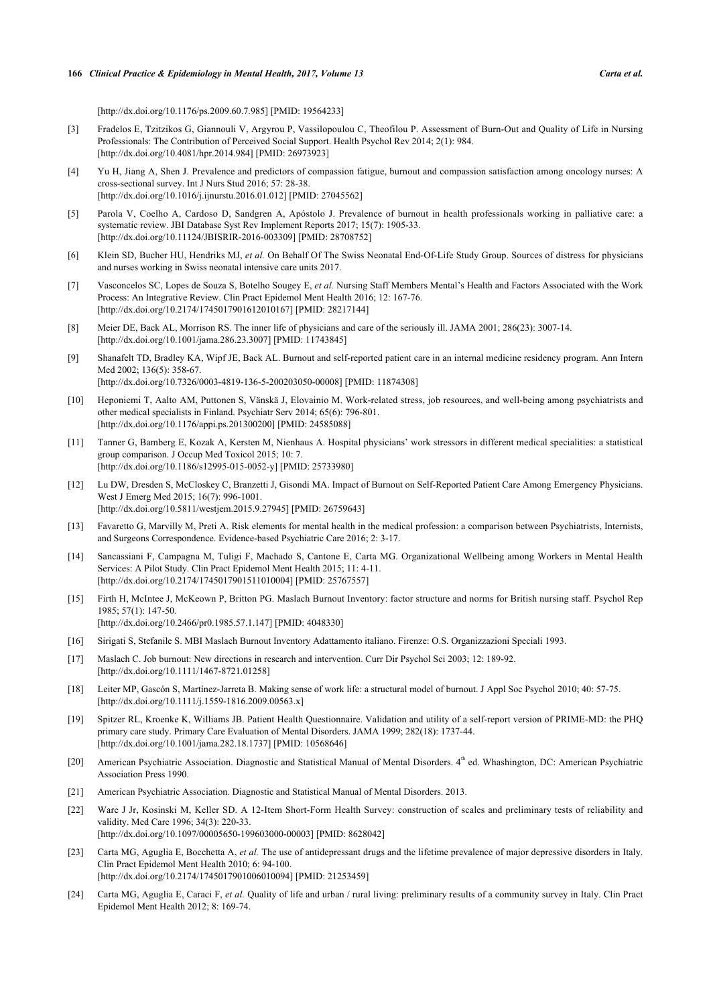[\[http://dx.doi.org/10.1176/ps.2009.60.7.985\]](http://dx.doi.org/10.1176/ps.2009.60.7.985) [PMID: [19564233](http://www.ncbi.nlm.nih.gov/pubmed/19564233)]

- [3] Fradelos E, Tzitzikos G, Giannouli V, Argyrou P, Vassilopoulou C, Theofilou P. Assessment of Burn-Out and Quality of Life in Nursing Professionals: The Contribution of Perceived Social Support. Health Psychol Rev 2014; 2(1): 984. [\[http://dx.doi.org/10.4081/hpr.2014.984](http://dx.doi.org/10.4081/hpr.2014.984)] [PMID: [26973923](http://www.ncbi.nlm.nih.gov/pubmed/26973923)]
- [4] Yu H, Jiang A, Shen J. Prevalence and predictors of compassion fatigue, burnout and compassion satisfaction among oncology nurses: A cross-sectional survey. Int J Nurs Stud 2016; 57: 28-38. [\[http://dx.doi.org/10.1016/j.ijnurstu.2016.01.012](http://dx.doi.org/10.1016/j.ijnurstu.2016.01.012)] [PMID: [27045562](http://www.ncbi.nlm.nih.gov/pubmed/27045562)]
- [5] Parola V, Coelho A, Cardoso D, Sandgren A, Apóstolo J. Prevalence of burnout in health professionals working in palliative care: a systematic review. JBI Database Syst Rev Implement Reports 2017; 15(7): 1905-33. [\[http://dx.doi.org/10.11124/JBISRIR-2016-003309](http://dx.doi.org/10.11124/JBISRIR-2016-003309)] [PMID: [28708752\]](http://www.ncbi.nlm.nih.gov/pubmed/28708752)
- [6] Klein SD, Bucher HU, Hendriks MJ, *et al.* On Behalf Of The Swiss Neonatal End-Of-Life Study Group. Sources of distress for physicians and nurses working in Swiss neonatal intensive care units 2017.
- <span id="page-10-0"></span>[7] Vasconcelos SC, Lopes de Souza S, Botelho Sougey E, *et al.* Nursing Staff Members Mental's Health and Factors Associated with the Work Process: An Integrative Review. Clin Pract Epidemol Ment Health 2016; 12: 167-76. [\[http://dx.doi.org/10.2174/1745017901612010167\]](http://dx.doi.org/10.2174/1745017901612010167) [PMID: [28217144](http://www.ncbi.nlm.nih.gov/pubmed/28217144)]
- <span id="page-10-1"></span>[8] Meier DE, Back AL, Morrison RS. The inner life of physicians and care of the seriously ill. JAMA 2001; 286(23): 3007-14. [\[http://dx.doi.org/10.1001/jama.286.23.3007](http://dx.doi.org/10.1001/jama.286.23.3007)] [PMID: [11743845\]](http://www.ncbi.nlm.nih.gov/pubmed/11743845)
- <span id="page-10-13"></span>[9] Shanafelt TD, Bradley KA, Wipf JE, Back AL. Burnout and self-reported patient care in an internal medicine residency program. Ann Intern Med 2002; 136(5): 358-67. [\[http://dx.doi.org/10.7326/0003-4819-136-5-200203050-00008](http://dx.doi.org/10.7326/0003-4819-136-5-200203050-00008)] [PMID: [11874308\]](http://www.ncbi.nlm.nih.gov/pubmed/11874308)
- [10] Heponiemi T, Aalto AM, Puttonen S, Vänskä J, Elovainio M. Work-related stress, job resources, and well-being among psychiatrists and other medical specialists in Finland. Psychiatr Serv 2014; 65(6): 796-801. [\[http://dx.doi.org/10.1176/appi.ps.201300200\]](http://dx.doi.org/10.1176/appi.ps.201300200) [PMID: [24585088](http://www.ncbi.nlm.nih.gov/pubmed/24585088)]
- [11] Tanner G, Bamberg E, Kozak A, Kersten M, Nienhaus A. Hospital physicians' work stressors in different medical specialities: a statistical group comparison. J Occup Med Toxicol 2015; 10: 7. [\[http://dx.doi.org/10.1186/s12995-015-0052-y\]](http://dx.doi.org/10.1186/s12995-015-0052-y) [PMID: [25733980](http://www.ncbi.nlm.nih.gov/pubmed/25733980)]
- [12] Lu DW, Dresden S, McCloskey C, Branzetti J, Gisondi MA. Impact of Burnout on Self-Reported Patient Care Among Emergency Physicians. West J Emerg Med 2015; 16(7): 996-1001. [\[http://dx.doi.org/10.5811/westjem.2015.9.27945](http://dx.doi.org/10.5811/westjem.2015.9.27945)] [PMID: [26759643](http://www.ncbi.nlm.nih.gov/pubmed/26759643)]
- [13] Favaretto G, Marvilly M, Preti A. Risk elements for mental health in the medical profession: a comparison between Psychiatrists, Internists, and Surgeons Correspondence. Evidence-based Psychiatric Care 2016; 2: 3-17.
- <span id="page-10-2"></span>[14] Sancassiani F, Campagna M, Tuligi F, Machado S, Cantone E, Carta MG. Organizational Wellbeing among Workers in Mental Health Services: A Pilot Study. Clin Pract Epidemol Ment Health 2015; 11: 4-11. [\[http://dx.doi.org/10.2174/1745017901511010004\]](http://dx.doi.org/10.2174/1745017901511010004) [PMID: [25767557](http://www.ncbi.nlm.nih.gov/pubmed/25767557)]
- <span id="page-10-3"></span>[15] Firth H, McIntee J, McKeown P, Britton PG. Maslach Burnout Inventory: factor structure and norms for British nursing staff. Psychol Rep  $1985: 57(1): 147-50$ [\[http://dx.doi.org/10.2466/pr0.1985.57.1.147](http://dx.doi.org/10.2466/pr0.1985.57.1.147)] [PMID: [4048330](http://www.ncbi.nlm.nih.gov/pubmed/4048330)]
- <span id="page-10-4"></span>[16] Sirigati S, Stefanile S. MBI Maslach Burnout Inventory Adattamento italiano. Firenze: O.S. Organizzazioni Speciali 1993.
- <span id="page-10-5"></span>[17] Maslach C. Job burnout: New directions in research and intervention. Curr Dir Psychol Sci 2003; 12: 189-92. [\[http://dx.doi.org/10.1111/1467-8721.01258](http://dx.doi.org/10.1111/1467-8721.01258)]
- <span id="page-10-6"></span>[18] Leiter MP, Gascón S, Martínez-Jarreta B. Making sense of work life: a structural model of burnout. J Appl Soc Psychol 2010; 40: 57-75. [\[http://dx.doi.org/10.1111/j.1559-1816.2009.00563.x\]](http://dx.doi.org/10.1111/j.1559-1816.2009.00563.x)
- <span id="page-10-7"></span>[19] Spitzer RL, Kroenke K, Williams JB. Patient Health Questionnaire. Validation and utility of a self-report version of PRIME-MD: the PHQ primary care study. Primary Care Evaluation of Mental Disorders. JAMA 1999; 282(18): 1737-44. [\[http://dx.doi.org/10.1001/jama.282.18.1737](http://dx.doi.org/10.1001/jama.282.18.1737)] [PMID: [10568646\]](http://www.ncbi.nlm.nih.gov/pubmed/10568646)
- <span id="page-10-8"></span>[20] American Psychiatric Association. Diagnostic and Statistical Manual of Mental Disorders. 4th ed. Whashington, DC: American Psychiatric Association Press 1990.
- <span id="page-10-9"></span>[21] American Psychiatric Association. Diagnostic and Statistical Manual of Mental Disorders. 2013.
- <span id="page-10-10"></span>[22] Ware J Jr, Kosinski M, Keller SD. A 12-Item Short-Form Health Survey: construction of scales and preliminary tests of reliability and validity. Med Care 1996; 34(3): 220-33. [\[http://dx.doi.org/10.1097/00005650-199603000-00003](http://dx.doi.org/10.1097/00005650-199603000-00003)] [PMID: [8628042\]](http://www.ncbi.nlm.nih.gov/pubmed/8628042)
- <span id="page-10-11"></span>[23] Carta MG, Aguglia E, Bocchetta A, *et al.* The use of antidepressant drugs and the lifetime prevalence of major depressive disorders in Italy. Clin Pract Epidemol Ment Health 2010; 6: 94-100. [\[http://dx.doi.org/10.2174/1745017901006010094\]](http://dx.doi.org/10.2174/1745017901006010094) [PMID: [21253459](http://www.ncbi.nlm.nih.gov/pubmed/21253459)]
- <span id="page-10-12"></span>[24] Carta MG, Aguglia E, Caraci F, *et al.* Quality of life and urban / rural living: preliminary results of a community survey in Italy. Clin Pract Epidemol Ment Health 2012; 8: 169-74.